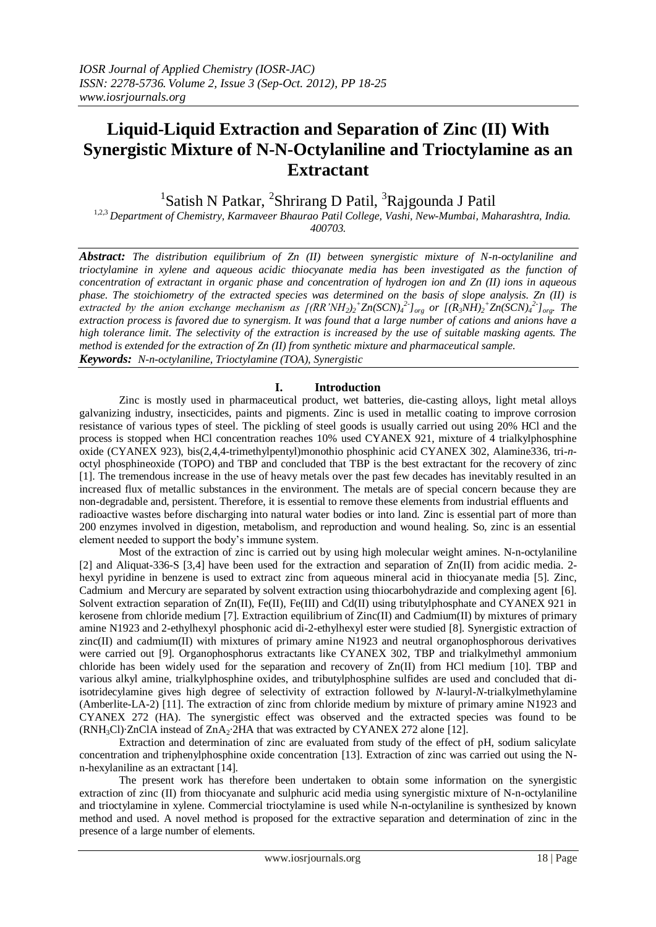# **Liquid-Liquid Extraction and Separation of Zinc (II) With Synergistic Mixture of N-N-Octylaniline and Trioctylamine as an Extractant**

<sup>1</sup>Satish N Patkar, <sup>2</sup>Shrirang D Patil, <sup>3</sup>Rajgounda J Patil

1,2,3 *Department of Chemistry, Karmaveer Bhaurao Patil College, Vashi, New-Mumbai, Maharashtra, India. 400703.*

*Abstract: The distribution equilibrium of Zn (II) between synergistic mixture of N-n-octylaniline and trioctylamine in xylene and aqueous acidic thiocyanate media has been investigated as the function of concentration of extractant in organic phase and concentration of hydrogen ion and Zn (II) ions in aqueous phase. The stoichiometry of the extracted species was determined on the basis of slope analysis. Zn (II) is*  extracted by the anion exchange mechanism as  $[(RR'NH_2)_2^+Zn(SCN)_4^2]_{org}$  or  $[(R_3NH)_2^+Zn(SCN)_4^2]_{org}$ . The *extraction process is favored due to synergism. It was found that a large number of cations and anions have a high tolerance limit. The selectivity of the extraction is increased by the use of suitable masking agents. The method is extended for the extraction of Zn (II) from synthetic mixture and pharmaceutical sample. Keywords: N-n-octylaniline, Trioctylamine (TOA), Synergistic*

# **I. Introduction**

Zinc is mostly used in pharmaceutical product, wet batteries, die-casting alloys, light metal alloys galvanizing industry, insecticides, paints and pigments. Zinc is used in metallic coating to improve corrosion resistance of various types of steel. The pickling of steel goods is usually carried out using 20% HCl and the process is stopped when HCl concentration reaches 10% used CYANEX 921, mixture of 4 trialkylphosphine oxide (CYANEX 923), bis(2,4,4-trimethylpentyl)monothio phosphinic acid CYANEX 302, Alamine336, tri-*n*octyl phosphineoxide (TOPO) and TBP and concluded that TBP is the best extractant for the recovery of zinc [1]. The tremendous increase in the use of heavy metals over the past few decades has inevitably resulted in an increased flux of metallic substances in the environment. The metals are of special concern because they are non-degradable and, persistent. Therefore, it is essential to remove these elements from industrial effluents and radioactive wastes before discharging into natural water bodies or into land. Zinc is essential part of more than 200 enzymes involved in digestion, metabolism, and reproduction and wound healing. So, zinc is an essential element needed to support the body's immune system.

Most of the extraction of zinc is carried out by using high molecular weight amines. N-n-octylaniline [2] and Aliquat-336-S [3,4] have been used for the extraction and separation of Zn(II) from acidic media. 2 hexyl pyridine in benzene is used to extract zinc from aqueous mineral acid in thiocyanate media [5]. Zinc, Cadmium and Mercury are separated by solvent extraction using thiocarbohydrazide and complexing agent [6]. Solvent extraction separation of Zn(II), Fe(II), Fe(III) and Cd(II) using tributylphosphate and CYANEX 921 in kerosene from chloride medium [7]. Extraction equilibrium of Zinc(II) and Cadmium(II) by mixtures of primary amine N1923 and 2-ethylhexyl phosphonic acid di-2-ethylhexyl ester were studied [8]. Synergistic extraction of zinc(II) and cadmium(II) with mixtures of primary amine N1923 and neutral organophosphorous derivatives were carried out [9]. Organophosphorus extractants like CYANEX 302, TBP and trialkylmethyl ammonium chloride has been widely used for the separation and recovery of Zn(II) from HCl medium [10]. TBP and various alkyl amine, trialkylphosphine oxides, and tributylphosphine sulfides are used and concluded that diisotridecylamine gives high degree of selectivity of extraction followed by *N*-lauryl-*N*-trialkylmethylamine (Amberlite-LA-2) [11]. The extraction of zinc from chloride medium by mixture of primary amine N1923 and CYANEX 272 (HA). The synergistic effect was observed and the extracted species was found to be  $(RNH<sub>3</sub>Cl)$ ·ZnClA instead of ZnA<sub>2</sub>·2HA that was extracted by CYANEX 272 alone [12].

Extraction and determination of zinc are evaluated from study of the effect of pH, sodium salicylate concentration and triphenylphosphine oxide concentration [13]. Extraction of zinc was carried out using the Nn-hexylaniline as an extractant [14].

The present work has therefore been undertaken to obtain some information on the synergistic extraction of zinc (II) from thiocyanate and sulphuric acid media using synergistic mixture of N-n-octylaniline and trioctylamine in xylene. Commercial trioctylamine is used while N-n-octylaniline is synthesized by known method and used. A novel method is proposed for the extractive separation and determination of zinc in the presence of a large number of elements.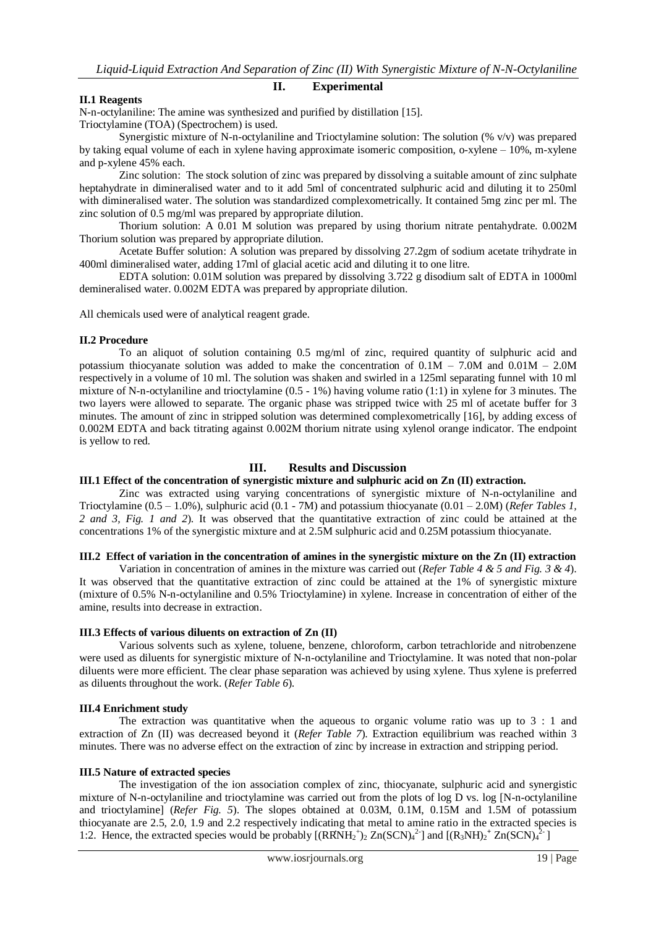## **II. Experimental**

## **II.1 Reagents**

N-n-octylaniline: The amine was synthesized and purified by distillation [15]. Trioctylamine (TOA) (Spectrochem) is used.

Synergistic mixture of N-n-octylaniline and Trioctylamine solution: The solution (% v/v) was prepared by taking equal volume of each in xylene having approximate isomeric composition, o-xylene – 10%, m-xylene and p-xylene 45% each.

Zinc solution: The stock solution of zinc was prepared by dissolving a suitable amount of zinc sulphate heptahydrate in dimineralised water and to it add 5ml of concentrated sulphuric acid and diluting it to 250ml with dimineralised water. The solution was standardized complexometrically. It contained 5mg zinc per ml. The zinc solution of 0.5 mg/ml was prepared by appropriate dilution.

Thorium solution: A 0.01 M solution was prepared by using thorium nitrate pentahydrate. 0.002M Thorium solution was prepared by appropriate dilution.

Acetate Buffer solution: A solution was prepared by dissolving 27.2gm of sodium acetate trihydrate in 400ml dimineralised water, adding 17ml of glacial acetic acid and diluting it to one litre.

EDTA solution: 0.01M solution was prepared by dissolving 3.722 g disodium salt of EDTA in 1000ml demineralised water. 0.002M EDTA was prepared by appropriate dilution.

All chemicals used were of analytical reagent grade.

#### **II.2 Procedure**

To an aliquot of solution containing 0.5 mg/ml of zinc, required quantity of sulphuric acid and potassium thiocyanate solution was added to make the concentration of  $0.1M - 7.0M$  and  $0.01M - 2.0M$ respectively in a volume of 10 ml. The solution was shaken and swirled in a 125ml separating funnel with 10 ml mixture of N-n-octylaniline and trioctylamine (0.5 - 1%) having volume ratio (1:1) in xylene for 3 minutes. The two layers were allowed to separate. The organic phase was stripped twice with 25 ml of acetate buffer for 3 minutes. The amount of zinc in stripped solution was determined complexometrically [16], by adding excess of 0.002M EDTA and back titrating against 0.002M thorium nitrate using xylenol orange indicator. The endpoint is yellow to red.

# **III. Results and Discussion**

## **III.1 Effect of the concentration of synergistic mixture and sulphuric acid on Zn (II) extraction.**

Zinc was extracted using varying concentrations of synergistic mixture of N-n-octylaniline and Trioctylamine (0.5 – 1.0%), sulphuric acid (0.1 - 7M) and potassium thiocyanate (0.01 – 2.0M) (*Refer Tables 1, 2 and 3, Fig. 1 and 2*). It was observed that the quantitative extraction of zinc could be attained at the concentrations 1% of the synergistic mixture and at 2.5M sulphuric acid and 0.25M potassium thiocyanate.

## **III.2 Effect of variation in the concentration of amines in the synergistic mixture on the Zn (II) extraction**

Variation in concentration of amines in the mixture was carried out (*Refer Table 4 & 5 and Fig. 3 & 4*). It was observed that the quantitative extraction of zinc could be attained at the 1% of synergistic mixture (mixture of 0.5% N-n-octylaniline and 0.5% Trioctylamine) in xylene. Increase in concentration of either of the amine, results into decrease in extraction.

## **III.3 Effects of various diluents on extraction of Zn (II)**

Various solvents such as xylene, toluene, benzene, chloroform, carbon tetrachloride and nitrobenzene were used as diluents for synergistic mixture of N-n-octylaniline and Trioctylamine. It was noted that non-polar diluents were more efficient. The clear phase separation was achieved by using xylene. Thus xylene is preferred as diluents throughout the work. (*Refer Table 6*).

## **III.4 Enrichment study**

The extraction was quantitative when the aqueous to organic volume ratio was up to 3 : 1 and extraction of Zn (II) was decreased beyond it (*Refer Table 7*). Extraction equilibrium was reached within 3 minutes. There was no adverse effect on the extraction of zinc by increase in extraction and stripping period.

## **III.5 Nature of extracted species**

The investigation of the ion association complex of zinc, thiocyanate, sulphuric acid and synergistic mixture of N-n-octylaniline and trioctylamine was carried out from the plots of log D vs. log [N-n-octylaniline and trioctylamine] (*Refer Fig. 5*). The slopes obtained at 0.03M, 0.1M, 0.15M and 1.5M of potassium thiocyanate are 2.5, 2.0, 1.9 and 2.2 respectively indicating that metal to amine ratio in the extracted species is 1:2. Hence, the extracted species would be probably  $[(RRNH<sub>2</sub><sup>+</sup>)<sub>2</sub> Zn(SCN)<sub>4</sub><sup>2-</sup>]$  and  $[(R<sub>3</sub>NH)<sub>2</sub><sup>+</sup> Zn(SCN)<sub>4</sub><sup>2-</sup>]$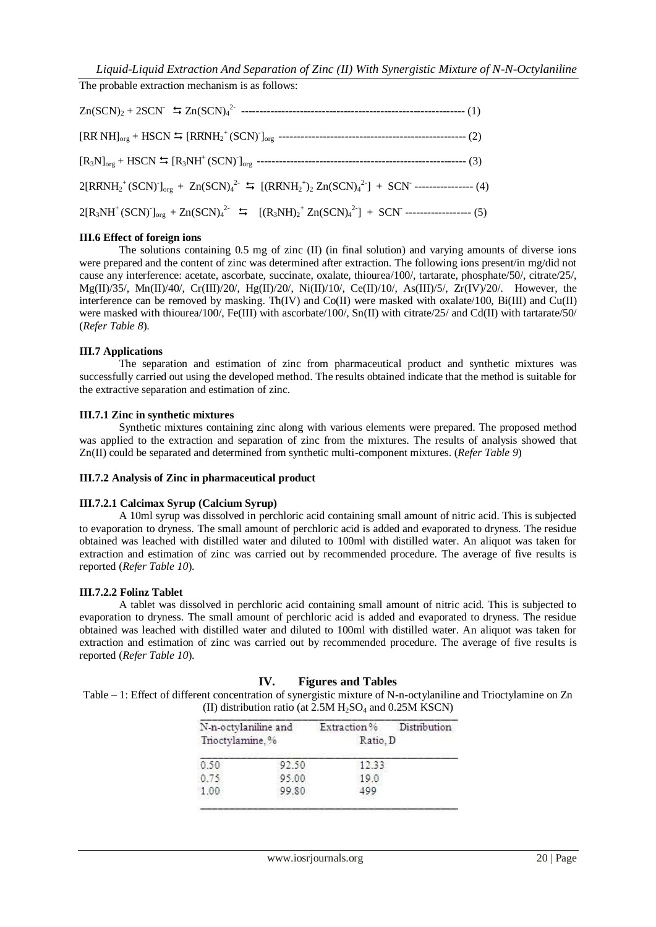The probable extraction mechanism is as follows:

## **III.6 Effect of foreign ions**

The solutions containing 0.5 mg of zinc (II) (in final solution) and varying amounts of diverse ions were prepared and the content of zinc was determined after extraction. The following ions present/in mg/did not cause any interference: acetate, ascorbate, succinate, oxalate, thiourea/100/, tartarate, phosphate/50/, citrate/25/, Mg(II)/35/, Mn(II)/40/, Cr(III)/20/, Hg(II)/20/, Ni(II)/10/, Ce(II)/10/, As(III)/5/, Zr(IV)/20/. However, the interference can be removed by masking. Th(IV) and Co(II) were masked with oxalate/100, Bi(III) and Cu(II) were masked with thiourea/100/, Fe(III) with ascorbate/100/, Sn(II) with citrate/25/ and Cd(II) with tartarate/50/ (*Refer Table 8*).

## **III.7 Applications**

The separation and estimation of zinc from pharmaceutical product and synthetic mixtures was successfully carried out using the developed method. The results obtained indicate that the method is suitable for the extractive separation and estimation of zinc.

## **III.7.1 Zinc in synthetic mixtures**

Synthetic mixtures containing zinc along with various elements were prepared. The proposed method was applied to the extraction and separation of zinc from the mixtures. The results of analysis showed that Zn(II) could be separated and determined from synthetic multi-component mixtures. (*Refer Table 9*)

## **III.7.2 Analysis of Zinc in pharmaceutical product**

## **III.7.2.1 Calcimax Syrup (Calcium Syrup)**

A 10ml syrup was dissolved in perchloric acid containing small amount of nitric acid. This is subjected to evaporation to dryness. The small amount of perchloric acid is added and evaporated to dryness. The residue obtained was leached with distilled water and diluted to 100ml with distilled water. An aliquot was taken for extraction and estimation of zinc was carried out by recommended procedure. The average of five results is reported (*Refer Table 10*).

## **III.7.2.2 Folinz Tablet**

A tablet was dissolved in perchloric acid containing small amount of nitric acid. This is subjected to evaporation to dryness. The small amount of perchloric acid is added and evaporated to dryness. The residue obtained was leached with distilled water and diluted to 100ml with distilled water. An aliquot was taken for extraction and estimation of zinc was carried out by recommended procedure. The average of five results is reported (*Refer Table 10*).

# **IV. Figures and Tables**

Table – 1: Effect of different concentration of synergistic mixture of N-n-octylaniline and Trioctylamine on Zn (II) distribution ratio (at  $2.5M$  H<sub>2</sub>SO<sub>4</sub> and  $0.25M$  KSCN)

| N-n-octylaniline and<br>Trioctylamine.% |       | Extraction%<br>Ratio. D | Distribution |
|-----------------------------------------|-------|-------------------------|--------------|
| 0.50                                    | 92.50 | 12.33                   |              |
| 0.75                                    | 95.00 | 19.0                    |              |
| 1.00                                    | 99.80 | 199                     |              |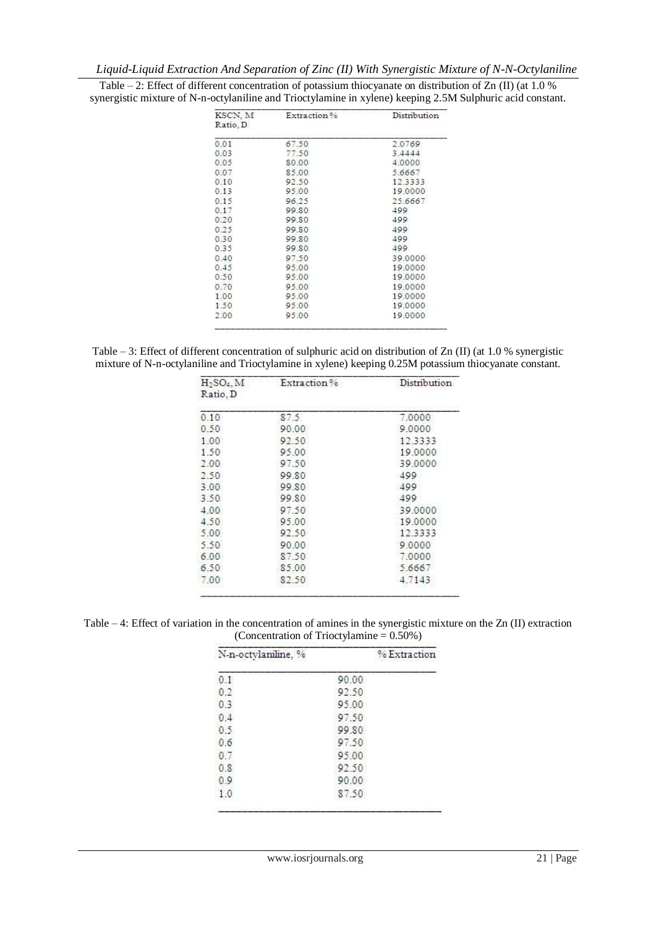| KSCN, M  | Extraction% | Distribution |
|----------|-------------|--------------|
| Ratio, D |             |              |
| 0.01     | 67.50       | 2.0769       |
| 0.03     | 77.50       | 3.4444       |
| 0.05     | 80.00       | 4.0000       |
| 0.07     | 85.00       | 5.6667       |
| 0.10     | 92.50       | 12.3333      |
| 0.13     | 95.00       | 19.0000      |
| 0.15     | 96.25       | 25.6667      |
| 0.17     | 99.80       | 499          |
| 0.20     | 99.80       | 499          |
| 0.25     | 99.80       | 499          |
| 0.30     | 99.80       | 499          |
| 0.35     | 99.80       | 499          |
| 0.40     | 97.50       | 39,0000      |
| 0.45     | 95.00       | 19,0000      |
| 0.50     | 95.00       | 19,0000      |
| 0.70     | 95.00       | 19,0000      |
| 1.00     | 95.00       | 19,0000      |
| 1.50     | 95.00       | 19,0000      |
| 2.00     | 95.00       | 19,0000      |

Table – 2: Effect of different concentration of potassium thiocyanate on distribution of Zn (II) (at 1.0 % synergistic mixture of N-n-octylaniline and Trioctylamine in xylene) keeping 2.5M Sulphuric acid constant.

Table – 3: Effect of different concentration of sulphuric acid on distribution of Zn (II) (at 1.0 % synergistic mixture of N-n-octylaniline and Trioctylamine in xylene) keeping 0.25M potassium thiocyanate constant.

| $H_2SO_4$ , M<br>Ratio, D | Extraction % | Distribution |
|---------------------------|--------------|--------------|
| 0.10                      | 87.5         | 7.0000       |
| 0.50                      | 90.00        | 9.0000       |
| 1.00                      | 92.50        | 12.3333      |
| 1.50                      | 95.00        | 19,0000      |
| 2.00                      | 97.50        | 39,0000      |
| 2.50                      | 99.80        | 499          |
| 3.00                      | 99.80        | 499          |
| 3.50                      | 99.80        | 499          |
| 4.00                      | 97.50        | 39.0000      |
| 4.50                      | 95.00        | 19,0000      |
| 5.00                      | 92.50        | 12.3333      |
| 5.50                      | 90.00        | 9.0000       |
| 6.00                      | 87.50        | 7,0000       |
| 6.50                      | 85.00        | 5.6667       |
| 7.00                      | 82.50        | 4.7143       |

Table – 4: Effect of variation in the concentration of amines in the synergistic mixture on the Zn (II) extraction (Concentration of Trioctylamine = 0.50%)

| N-n-octylaniline, % |       | % Extraction |
|---------------------|-------|--------------|
| 0.1                 | 90.00 |              |
| 0.2                 | 92.50 |              |
| 0.3                 | 95.00 |              |
| 0.4                 | 97.50 |              |
| 0.5                 | 99.80 |              |
| 0.6                 | 97.50 |              |
| 0.7                 | 95.00 |              |
| 0.8                 | 92.50 |              |
| 0.9                 | 90.00 |              |
| 1.0                 | 87.50 |              |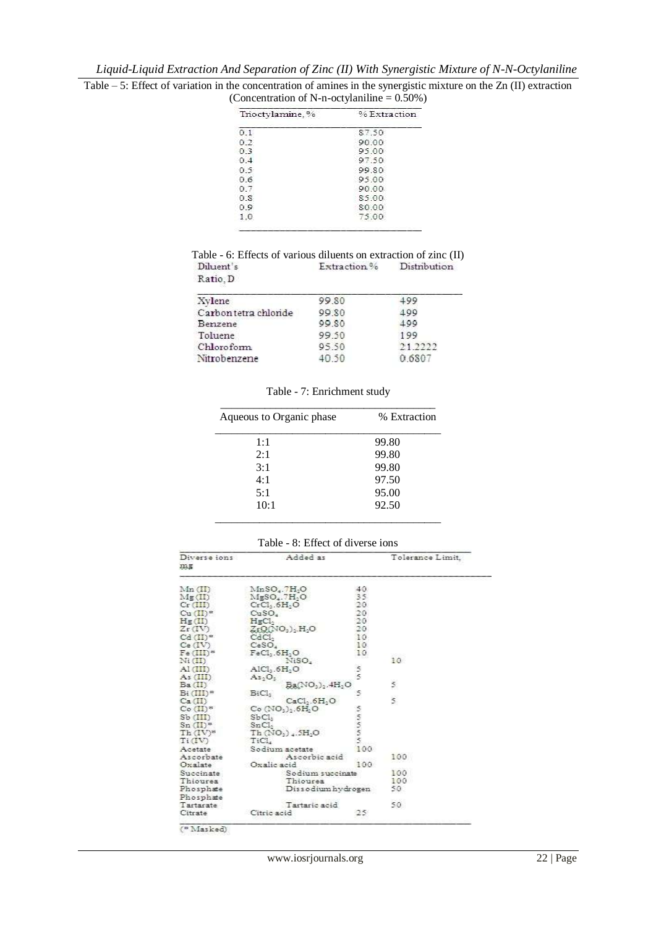| Table $-5$ : Effect of variation in the concentration of amines in the synergistic mixture on the Zn (II) extraction |  |
|----------------------------------------------------------------------------------------------------------------------|--|
| (Concentration of N-n-octylaniline $= 0.50\%$ )                                                                      |  |

| Trioctylamine.% | % Extraction |
|-----------------|--------------|
| 0.1             | 87.50        |
| 0.2             | 90.00        |
| 03              | 95.00        |
| 0.4             | 97.50        |
| 0.5             | 99.80        |
| 06              | 95.00        |
| 0.7             | 90.00        |
| 0S              | 85.00        |
| 0.9             | 80.00        |
| 1.0             | 75.00        |

Table - 6: Effects of various diluents on extraction of zinc (II)<br>Diluent's Extraction % Distribution Ratio, D

| Xvlene                | 99.80 | -99     |
|-----------------------|-------|---------|
| Carbon tetra chloride | 99.80 | 499     |
| Benzene               | 99.80 | 499     |
| Toluene               | 99.50 | 199     |
| Chloroform            | 95.50 | 21.2222 |
| Nitrobenzene          | 40.50 | 0.6807  |

Table - 7: Enrichment study

| % Extraction |  |
|--------------|--|
| 99.80        |  |
| 99.80        |  |
| 99.80        |  |
| 97.50        |  |
| 95.00        |  |
| 92.50        |  |
|              |  |

|  |  | Table - 8: Effect of diverse ions |  |
|--|--|-----------------------------------|--|
|  |  |                                   |  |

| Diverse ions<br>æ≆      | Added as                                                 |               | Tolerance Limit.        |
|-------------------------|----------------------------------------------------------|---------------|-------------------------|
| Mn (III)                | MnSO <sub>4</sub> .7H <sub>2</sub> O                     | 40.           |                         |
| Me(II)<br>$Cr$ (III)    | MgSO <sub>4</sub> .7H <sub>2</sub> O<br>$CrCl3$ . $6H2O$ | 35.<br>20     |                         |
| $Cu$ $(II)^*$           | CuSO <sub>a</sub>                                        | 20            |                         |
| H <sub>g</sub> (II)     | HgCl <sub>2</sub>                                        | 20            |                         |
| $Zr$ (IV)               | $ZtQ(NO3)$ , H <sub>2</sub> O                            | 20            |                         |
| $Cd$ $(II)$ *           | CdCL,                                                    | 10            |                         |
| Ce (IV)                 | CeSO <sub>4</sub>                                        | 10.           |                         |
| $Fe (III)^*$            | $FeCl1$ . $6H2O$                                         | 10            |                         |
| $\rm N_{\rm I}(\rm II)$ | NiSO.                                                    |               | nees<br>10              |
| $A1$ $(HI)$             | AIC1, 6H, O                                              |               |                         |
| As (III)                | As. O.                                                   | s<br>S        |                         |
| Ba(II)                  | Ba(NO3)2.4H2O                                            |               | 5.                      |
| $Bi(III)^*$             | BiCl <sub>3</sub>                                        | 5             |                         |
| Ca(II)                  | CaCl., 6H, O                                             |               | $\overline{\mathbf{5}}$ |
| $Co$ $(II)^*$           | $Co(NO3)2$ .6H <sub>2</sub> O                            |               |                         |
| $Sb$ $(III)$            | SbCl <sub>1</sub>                                        | <b>MANDIN</b> |                         |
| $Sn(\Pi)^*$             | SnCl <sub>2</sub>                                        |               |                         |
| $Th(IV)^*$              | $Th(NO_1)$ , $5H_2O$                                     |               |                         |
| $Ti({\rm IV})$          | TiCL                                                     |               |                         |
| Acetate                 | Sodium acetate                                           | 100           |                         |
| Ascorbate               | Ascorbic acid                                            |               | 100                     |
| Oxalate                 | Oxalic acid                                              | 100           |                         |
| Succinate               | Sodium succinate                                         |               | 100                     |
| Thiourea                | Thioursa                                                 |               | 100                     |
| Phosphate               | Dissodium hydrogen                                       |               | 50                      |
| Phosphate               |                                                          |               |                         |
| Tartarate               | Tartaric acid                                            |               | 50.                     |
| Citrate                 | Citric acid                                              | 25            |                         |

(\* Masked)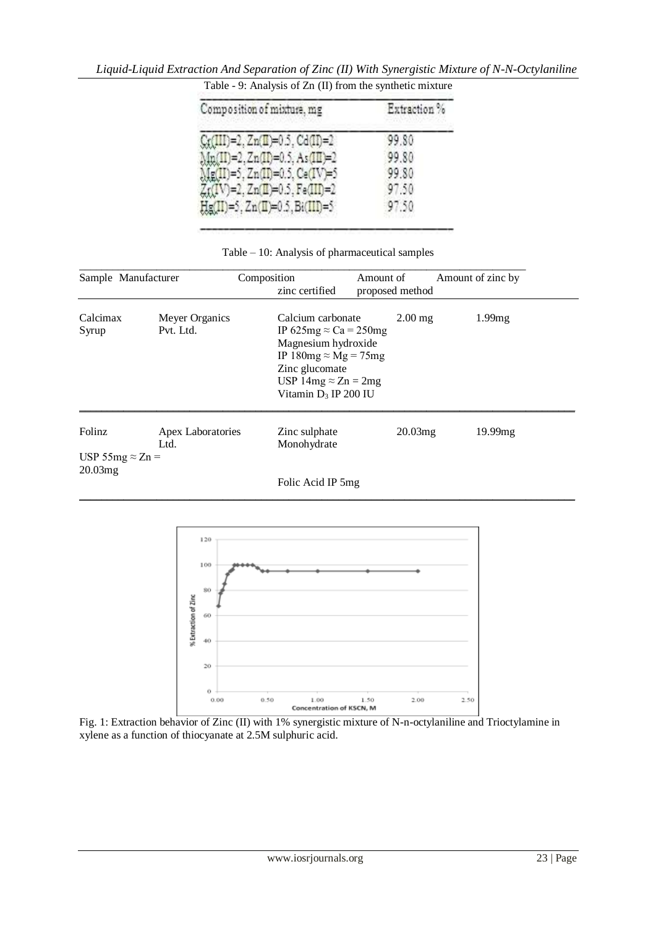| Composition of mixture, mg              | Extraction % |  |
|-----------------------------------------|--------------|--|
| $Cr(III)=2, Zn(II)=0.5, Cd(II)=2$       | 99.80        |  |
| Mn(II)=2, Zn(II)=0.5, As(III)=2         | 99.80        |  |
| Mg(II)=5, Zn(II)=0.5, Ce(IV)=5          | 99.80        |  |
| Zr(IV)=2, Zn(II)=0.5, Fe(III)=2         | 97.50        |  |
| $Hg(II)=5$ , $Zn(II)=0.5$ , $Bi(III)=5$ | 97.50        |  |

*Liquid-Liquid Extraction And Separation of Zinc (II) With Synergistic Mixture of N-N-Octylaniline*  Table - 9: Analysis of Zn (II) from the synthetic mixture

|  |  | Table – 10: Analysis of pharmaceutical samples |  |
|--|--|------------------------------------------------|--|
|  |  |                                                |  |

| Sample Manufacturer                |                             | Composition<br>zinc certified                                                                                                                                                                  | Amount of<br>proposed method | Amount of zinc by |  |
|------------------------------------|-----------------------------|------------------------------------------------------------------------------------------------------------------------------------------------------------------------------------------------|------------------------------|-------------------|--|
| Calcimax<br>Syrup                  | Meyer Organics<br>Pvt. Ltd. | Calcium carbonate<br>IP 625mg $\approx$ Ca = 250mg<br>Magnesium hydroxide<br>IP 180mg $\approx$ Mg = 75mg<br>Zinc glucomate<br>USP 14mg $\approx$ Zn = 2mg<br>Vitamin D <sub>3</sub> IP 200 IU | $2.00$ mg                    | 1.99mg            |  |
| Folinz                             | Apex Laboratories<br>Ltd.   | Zinc sulphate<br>Monohydrate                                                                                                                                                                   | 20.03mg                      | 19.99mg           |  |
| USP 55mg $\approx$ Zn =<br>20.03mg |                             | Folic Acid IP 5mg                                                                                                                                                                              |                              |                   |  |

\_\_\_\_\_\_\_\_\_\_\_\_\_\_\_\_\_\_\_\_\_\_\_\_\_\_\_\_\_\_\_\_\_\_\_\_\_\_\_\_\_\_\_\_\_\_\_\_\_\_\_\_\_\_\_\_\_\_\_\_\_\_\_\_\_\_\_\_\_\_\_\_\_\_\_\_\_\_\_\_\_\_\_\_\_\_\_\_\_\_



Fig. 1: Extraction behavior of Zinc (II) with 1% synergistic mixture of N-n-octylaniline and Trioctylamine in xylene as a function of thiocyanate at 2.5M sulphuric acid.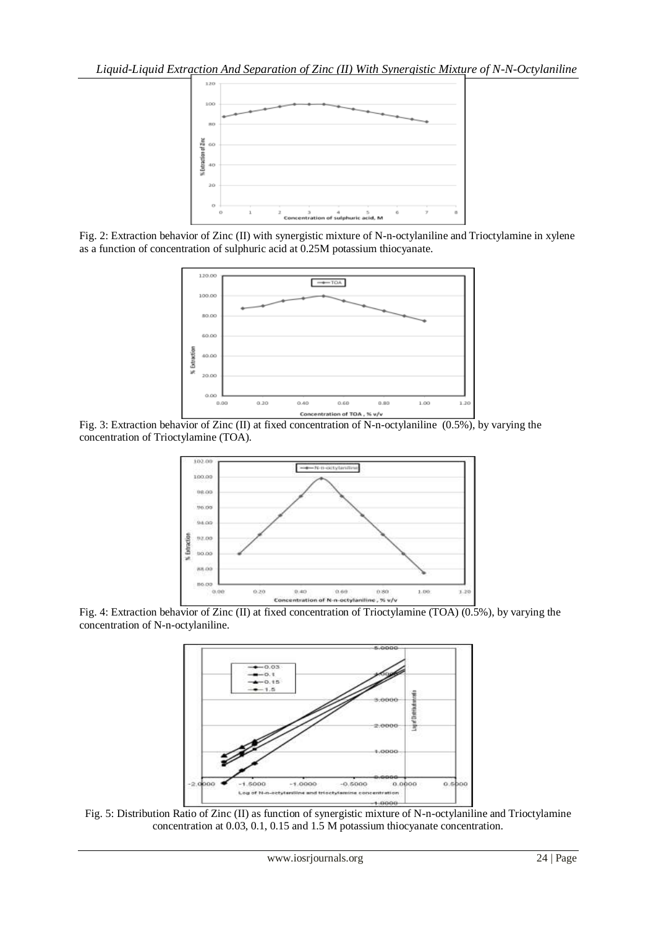

Fig. 2: Extraction behavior of Zinc (II) with synergistic mixture of N-n-octylaniline and Trioctylamine in xylene as a function of concentration of sulphuric acid at 0.25M potassium thiocyanate.



Fig. 3: Extraction behavior of Zinc (II) at fixed concentration of N-n-octylaniline (0.5%), by varying the concentration of Trioctylamine (TOA).



Fig. 4: Extraction behavior of Zinc (II) at fixed concentration of Trioctylamine (TOA) (0.5%), by varying the concentration of N-n-octylaniline.